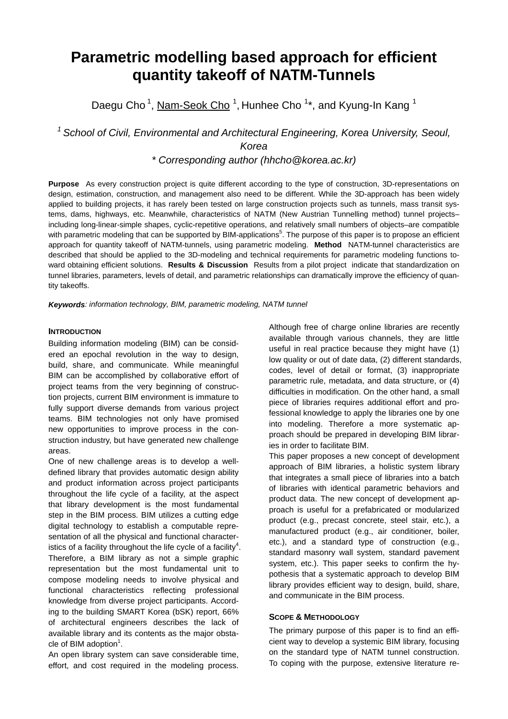# **Parametric modelling based approach for efficient quantity takeoff of NATM-Tunnels**

Daegu Cho<sup>1</sup>, Nam-Seok Cho<sup>1</sup>, Hunhee Cho<sup>1\*</sup>, and Kyung-In Kang<sup>1</sup>

*1 School of Civil, Environmental and Architectural Engineering, Korea University, Seoul, Korea*

*\* Corresponding author (hhcho@korea.ac.kr)*

**Purpose** As every construction project is quite different according to the type of construction, 3D-representations on design, estimation, construction, and management also need to be different. While the 3D-approach has been widely applied to building projects, it has rarely been tested on large construction projects such as tunnels, mass transit systems, dams, highways, etc. Meanwhile, characteristics of NATM (New Austrian Tunnelling method) tunnel projects– including long-linear-simple shapes, cyclic-repetitive operations, and relatively small numbers of objects–are compatible with parametric modeling that can be supported by BIM-applications<sup>5</sup>. The purpose of this paper is to propose an efficient approach for quantity takeoff of NATM-tunnels, using parametric modeling. **Method** NATM-tunnel characteristics are described that should be applied to the 3D-modeling and technical requirements for parametric modeling functions toward obtaining efficient solutions. **Results & Discussion** Results from a pilot project indicate that standardization on tunnel libraries, parameters, levels of detail, and parametric relationships can dramatically improve the efficiency of quantity takeoffs.

*Keywords: information technology, BIM, parametric modeling, NATM tunnel* 

## **INTRODUCTION**

Building information modeling (BIM) can be considered an epochal revolution in the way to design, build, share, and communicate. While meaningful BIM can be accomplished by collaborative effort of project teams from the very beginning of construction projects, current BIM environment is immature to fully support diverse demands from various project teams. BIM technologies not only have promised new opportunities to improve process in the construction industry, but have generated new challenge areas.

One of new challenge areas is to develop a welldefined library that provides automatic design ability and product information across project participants throughout the life cycle of a facility, at the aspect that library development is the most fundamental step in the BIM process. BIM utilizes a cutting edge digital technology to establish a computable representation of all the physical and functional characteristics of a facility throughout the life cycle of a facility<sup>4</sup>. Therefore, a BIM library as not a simple graphic representation but the most fundamental unit to compose modeling needs to involve physical and functional characteristics reflecting professional knowledge from diverse project participants. According to the building SMART Korea (bSK) report, 66% of architectural engineers describes the lack of available library and its contents as the major obstacle of BIM adoption $1$ .

An open library system can save considerable time, effort, and cost required in the modeling process.

Although free of charge online libraries are recently available through various channels, they are little useful in real practice because they might have (1) low quality or out of date data, (2) different standards, codes, level of detail or format, (3) inappropriate parametric rule, metadata, and data structure, or (4) difficulties in modification. On the other hand, a small piece of libraries requires additional effort and professional knowledge to apply the libraries one by one into modeling. Therefore a more systematic approach should be prepared in developing BIM libraries in order to facilitate BIM.

This paper proposes a new concept of development approach of BIM libraries, a holistic system library that integrates a small piece of libraries into a batch of libraries with identical parametric behaviors and product data. The new concept of development approach is useful for a prefabricated or modularized product (e.g., precast concrete, steel stair, etc.), a manufactured product (e.g., air conditioner, boiler, etc.), and a standard type of construction (e.g., standard masonry wall system, standard pavement system, etc.). This paper seeks to confirm the hypothesis that a systematic approach to develop BIM library provides efficient way to design, build, share, and communicate in the BIM process.

## **SCOPE & METHODOLOGY**

The primary purpose of this paper is to find an efficient way to develop a systemic BIM library, focusing on the standard type of NATM tunnel construction. To coping with the purpose, extensive literature re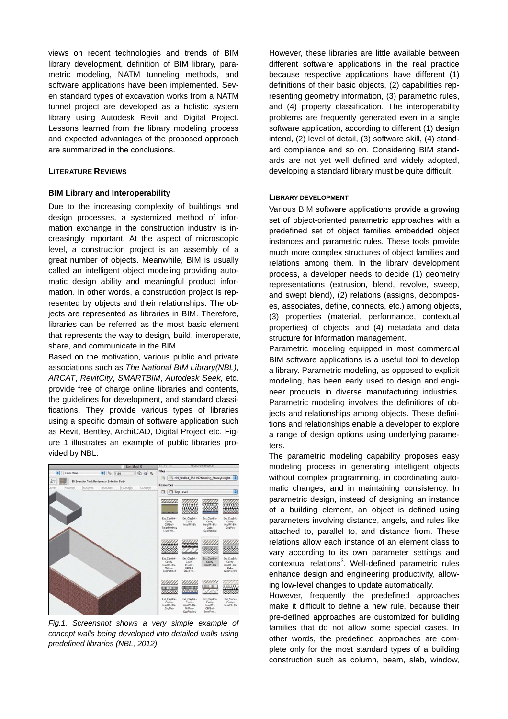views on recent technologies and trends of BIM library development, definition of BIM library, parametric modeling, NATM tunneling methods, and software applications have been implemented. Seven standard types of excavation works from a NATM tunnel project are developed as a holistic system library using Autodesk Revit and Digital Project. Lessons learned from the library modeling process and expected advantages of the proposed approach are summarized in the conclusions.

#### **LITERATURE REVIEWS**

#### **BIM Library and Interoperability**

Due to the increasing complexity of buildings and design processes, a systemized method of information exchange in the construction industry is increasingly important. At the aspect of microscopic level, a construction project is an assembly of a great number of objects. Meanwhile, BIM is usually called an intelligent object modeling providing automatic design ability and meaningful product information. In other words, a construction project is represented by objects and their relationships. The objects are represented as libraries in BIM. Therefore, libraries can be referred as the most basic element that represents the way to design, build, interoperate, share, and communicate in the BIM.

Based on the motivation, various public and private associations such as *The National BIM Library(NBL)*, *ARCAT*, *RevitCity*, *SMARTBIM*, *Autodesk Seek*, etc. provide free of charge online libraries and contents, the guidelines for development, and standard classifications. They provide various types of libraries using a specific domain of software application such as Revit, Bentley, ArchiCAD, Digital Project etc. Figure 1 illustrates an example of public libraries provided by NBL.



*Fig.1. Screenshot shows a very simple example of concept walls being developed into detailed walls using predefined libraries (NBL, 2012)*

However, these libraries are little available between different software applications in the real practice because respective applications have different (1) definitions of their basic objects, (2) capabilities representing geometry information, (3) parametric rules, and (4) property classification. The interoperability problems are frequently generated even in a single software application, according to different (1) design intend, (2) level of detail, (3) software skill, (4) standard compliance and so on. Considering BIM standards are not yet well defined and widely adopted, developing a standard library must be quite difficult.

#### **LIBRARY DEVELOPMENT**

Various BIM software applications provide a growing set of object-oriented parametric approaches with a predefined set of object families embedded object instances and parametric rules. These tools provide much more complex structures of object families and relations among them. In the library development process, a developer needs to decide (1) geometry representations (extrusion, blend, revolve, sweep, and swept blend), (2) relations (assigns, decomposes, associates, define, connects, etc.) among objects, (3) properties (material, performance, contextual properties) of objects, and (4) metadata and data structure for information management.

Parametric modeling equipped in most commercial BIM software applications is a useful tool to develop a library. Parametric modeling, as opposed to explicit modeling, has been early used to design and engineer products in diverse manufacturing industries. Parametric modeling involves the definitions of objects and relationships among objects. These definitions and relationships enable a developer to explore a range of design options using underlying parameters.

The parametric modeling capability proposes easy modeling process in generating intelligent objects without complex programming, in coordinating automatic changes, and in maintaining consistency. In parametric design, instead of designing an instance of a building element, an object is defined using parameters involving distance, angels, and rules like attached to, parallel to, and distance from. These relations allow each instance of an element class to vary according to its own parameter settings and contextual relations<sup>3</sup>. Well-defined parametric rules enhance design and engineering productivity, allowing low-level changes to update automatically.

However, frequently the predefined approaches make it difficult to define a new rule, because their pre-defined approaches are customized for building families that do not allow some special cases. In other words, the predefined approaches are complete only for the most standard types of a building construction such as column, beam, slab, window,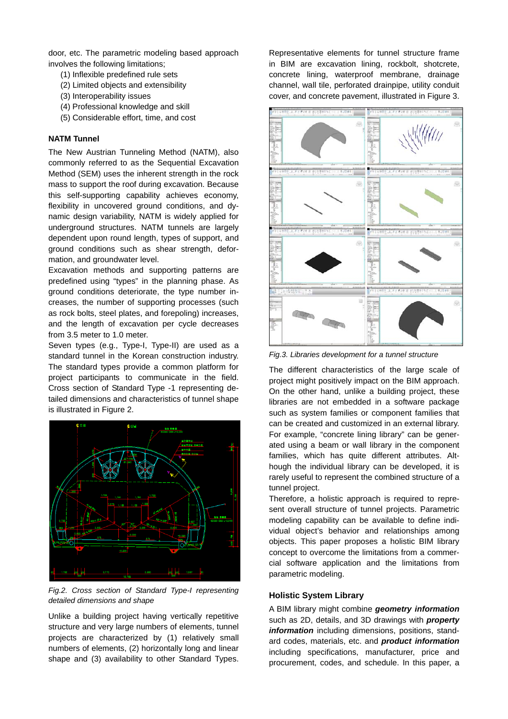door, etc. The parametric modeling based approach involves the following limitations;

- (1) Inflexible predefined rule sets
- (2) Limited objects and extensibility
- (3) Interoperability issues
- (4) Professional knowledge and skill
- (5) Considerable effort, time, and cost

#### **NATM Tunnel**

The New Austrian Tunneling Method (NATM), also commonly referred to as the Sequential Excavation Method (SEM) uses the inherent strength in the rock mass to support the roof during excavation. Because this self-supporting capability achieves economy, flexibility in uncovered ground conditions, and dynamic design variability, NATM is widely applied for underground structures. NATM tunnels are largely dependent upon round length, types of support, and ground conditions such as shear strength, deformation, and groundwater level.

Excavation methods and supporting patterns are predefined using "types" in the planning phase. As ground conditions deteriorate, the type number increases, the number of supporting processes (such as rock bolts, steel plates, and forepoling) increases, and the length of excavation per cycle decreases from 3.5 meter to 1.0 meter.

Seven types (e.g., Type-I, Type-II) are used as a standard tunnel in the Korean construction industry. The standard types provide a common platform for project participants to communicate in the field. Cross section of Standard Type -1 representing detailed dimensions and characteristics of tunnel shape is illustrated in Figure 2.



*Fig.2. Cross section of Standard Type-I representing detailed dimensions and shape* 

Unlike a building project having vertically repetitive structure and very large numbers of elements, tunnel projects are characterized by (1) relatively small numbers of elements, (2) horizontally long and linear shape and (3) availability to other Standard Types.

Representative elements for tunnel structure frame in BIM are excavation lining, rockbolt, shotcrete, concrete lining, waterproof membrane, drainage channel, wall tile, perforated drainpipe, utility conduit cover, and concrete pavement, illustrated in Figure 3.



*Fig.3. Libraries development for a tunnel structure* 

The different characteristics of the large scale of project might positively impact on the BIM approach. On the other hand, unlike a building project, these libraries are not embedded in a software package such as system families or component families that can be created and customized in an external library. For example, "concrete lining library" can be generated using a beam or wall library in the component families, which has quite different attributes. Although the individual library can be developed, it is rarely useful to represent the combined structure of a tunnel project.

Therefore, a holistic approach is required to represent overall structure of tunnel projects. Parametric modeling capability can be available to define individual object's behavior and relationships among objects. This paper proposes a holistic BIM library concept to overcome the limitations from a commercial software application and the limitations from parametric modeling.

## **Holistic System Library**

A BIM library might combine *geometry information* such as 2D, details, and 3D drawings with *property information* including dimensions, positions, standard codes, materials, etc. and *product information* including specifications, manufacturer, price and procurement, codes, and schedule. In this paper, a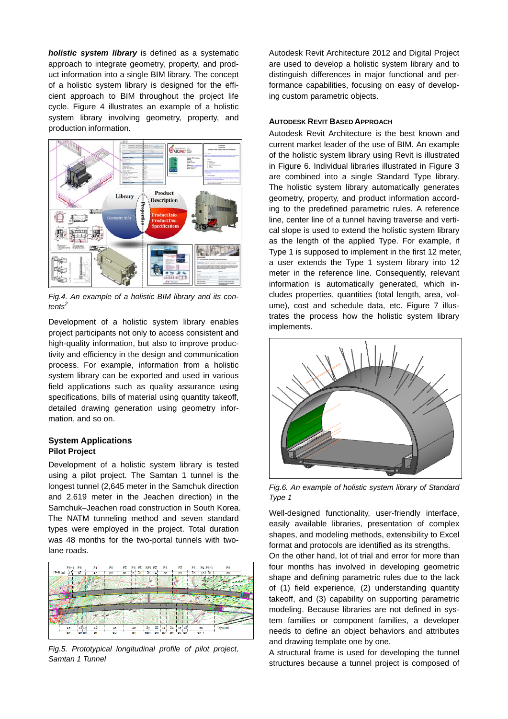*holistic system library* is defined as a systematic approach to integrate geometry, property, and product information into a single BIM library. The concept of a holistic system library is designed for the efficient approach to BIM throughout the project life cycle. Figure 4 illustrates an example of a holistic system library involving geometry, property, and production information.



*Fig.4. An example of a holistic BIM library and its contents<sup>2</sup>*

Development of a holistic system library enables project participants not only to access consistent and high-quality information, but also to improve productivity and efficiency in the design and communication process. For example, information from a holistic system library can be exported and used in various field applications such as quality assurance using specifications, bills of material using quantity takeoff, detailed drawing generation using geometry information, and so on.

## **System Applications Pilot Project**

Development of a holistic system library is tested using a pilot project. The Samtan 1 tunnel is the longest tunnel (2,645 meter in the Samchuk direction and 2,619 meter in the Jeachen direction) in the Samchuk–Jeachen road construction in South Korea. The NATM tunneling method and seven standard types were employed in the project. Total duration was 48 months for the two-portal tunnels with twolane roads.



*Fig.5. Prototypical longitudinal profile of pilot project, Samtan 1 Tunnel*

Autodesk Revit Architecture 2012 and Digital Project are used to develop a holistic system library and to distinguish differences in major functional and performance capabilities, focusing on easy of developing custom parametric objects.

#### **AUTODESK REVIT BASED APPROACH**

Autodesk Revit Architecture is the best known and current market leader of the use of BIM. An example of the holistic system library using Revit is illustrated in Figure 6. Individual libraries illustrated in Figure 3 are combined into a single Standard Type library. The holistic system library automatically generates geometry, property, and product information according to the predefined parametric rules. A reference line, center line of a tunnel having traverse and vertical slope is used to extend the holistic system library as the length of the applied Type. For example, if Type 1 is supposed to implement in the first 12 meter, a user extends the Type 1 system library into 12 meter in the reference line. Consequently, relevant information is automatically generated, which includes properties, quantities (total length, area, volume), cost and schedule data, etc. Figure 7 illustrates the process how the holistic system library implements.



*Fig.6. An example of holistic system library of Standard Type 1*

Well-designed functionality, user-friendly interface, easily available libraries, presentation of complex shapes, and modeling methods, extensibility to Excel format and protocols are identified as its strengths.

On the other hand, lot of trial and error for more than four months has involved in developing geometric shape and defining parametric rules due to the lack of (1) field experience, (2) understanding quantity takeoff, and (3) capability on supporting parametric modeling. Because libraries are not defined in system families or component families, a developer needs to define an object behaviors and attributes and drawing template one by one.

A structural frame is used for developing the tunnel structures because a tunnel project is composed of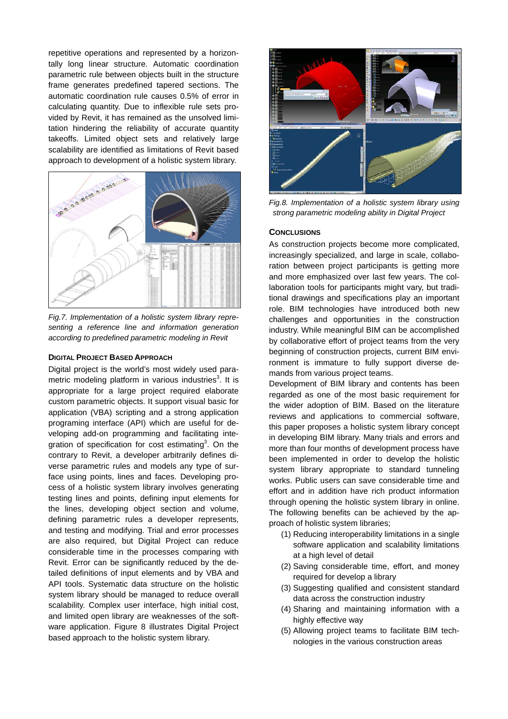repetitive operations and represented by a horizontally long linear structure. Automatic coordination parametric rule between objects built in the structure frame generates predefined tapered sections. The automatic coordination rule causes 0.5% of error in calculating quantity. Due to inflexible rule sets provided by Revit, it has remained as the unsolved limitation hindering the reliability of accurate quantity takeoffs. Limited object sets and relatively large scalability are identified as limitations of Revit based approach to development of a holistic system library.



*Fig.7. Implementation of a holistic system library representing a reference line and information generation according to predefined parametric modeling in Revit*

#### **DIGITAL PROJECT BASED APPROACH**

Digital project is the world's most widely used parametric modeling platform in various industries<sup>3</sup>. It is appropriate for a large project required elaborate custom parametric objects. It support visual basic for application (VBA) scripting and a strong application programing interface (API) which are useful for developing add-on programming and facilitating integration of specification for cost estimating<sup>3</sup>. On the contrary to Revit, a developer arbitrarily defines diverse parametric rules and models any type of surface using points, lines and faces. Developing process of a holistic system library involves generating testing lines and points, defining input elements for the lines, developing object section and volume, defining parametric rules a developer represents, and testing and modifying. Trial and error processes are also required, but Digital Project can reduce considerable time in the processes comparing with Revit. Error can be significantly reduced by the detailed definitions of input elements and by VBA and API tools. Systematic data structure on the holistic system library should be managed to reduce overall scalability. Complex user interface, high initial cost, and limited open library are weaknesses of the software application. Figure 8 illustrates Digital Project based approach to the holistic system library.



*Fig.8. Implementation of a holistic system library using strong parametric modeling ability in Digital Project* 

#### **CONCLUSIONS**

As construction projects become more complicated, increasingly specialized, and large in scale, collaboration between project participants is getting more and more emphasized over last few years. The collaboration tools for participants might vary, but traditional drawings and specifications play an important role. BIM technologies have introduced both new challenges and opportunities in the construction industry. While meaningful BIM can be accomplished by collaborative effort of project teams from the very beginning of construction projects, current BIM environment is immature to fully support diverse demands from various project teams.

Development of BIM library and contents has been regarded as one of the most basic requirement for the wider adoption of BIM. Based on the literature reviews and applications to commercial software, this paper proposes a holistic system library concept in developing BIM library. Many trials and errors and more than four months of development process have been implemented in order to develop the holistic system library appropriate to standard tunneling works. Public users can save considerable time and effort and in addition have rich product information through opening the holistic system library in online. The following benefits can be achieved by the approach of holistic system libraries;

- (1) Reducing interoperability limitations in a single software application and scalability limitations at a high level of detail
- (2) Saving considerable time, effort, and money required for develop a library
- (3) Suggesting qualified and consistent standard data across the construction industry
- (4) Sharing and maintaining information with a highly effective way
- (5) Allowing project teams to facilitate BIM technologies in the various construction areas